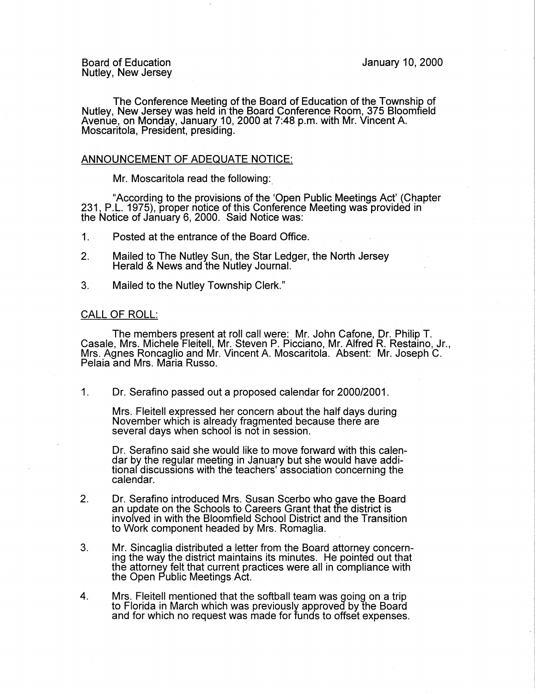Board of Education Nutley, New Jersey

The Conference Meeting of the Board of Education of the Township of Nutley, New Jersey was held in•the Board Conference Room, 375 Bloomfield Avenue, on Monday, January 10, 2000 at 7:48 p.m. with Mr. Vincent A. Moscaritola, President, presiding.

## ANNOUNCEMENT OF ADEQUATE NOTICE:

Mr. Moscaritola read the following:

"According to the provisions of the 'Open Public Meetings Act' (Chapter 231, P.L. 1975), proper notice of this Conference Meeting was provided in the Notice of January 6, 2000. Said Notice was:

- 1. .. Posted at the entrance of the Board Office.
- 2. Mailed to The Nutley Sun, the Star Ledger, the North Jersey Herald & News and the Nutley Journal.
- 3. Mailed to the Nutley Township Clerk."

## CALL OF ROLL:

The members present at roll call were: Mr. John Cafone, Dr. Philip T. Casale, Mrs. Michele Fleitell, Mr. Steven P. Picciano, Mr. Alfred R. Restaino, Jr., Mrs. Agnes Roncaglio and Mr. Vincent A. Moscaritola. Absent: Mr. Joseph C. Pelaia and Mrs. Maria Russo.

1. Dr. Serafino passed out a proposed calendar for 2000/2001.

Mrs. Fleitell expressed her concern about the half days during November which is already fragmented because there are several days when school is not in session.

Dr. Serafino said she would like to move forward with this calendar by the regular meeting in January but she would have additional discussions with the teachers' association concerning the calendar.

- 2. Dr. Serafino introduced Mrs. Susan Scerbo who gave the Board an update on the Schools to Careers Grant that the district is involved in with the Bloomfield School District and the Transition to Work component headed by Mrs. Romaglia.
- 3. Mr. Sincaglia distributed a letter from the Board attorney concerning the way the district maintains its minutes. He pointed out that the attorney felt that current practices were all in compliance with the Open Public Meetings Act.
- 4. Mrs. Fleitell mentioned that the softball team was going on a trip to Florida in March which was previously approved by the Board and for which no request was made for funds to offset expenses.